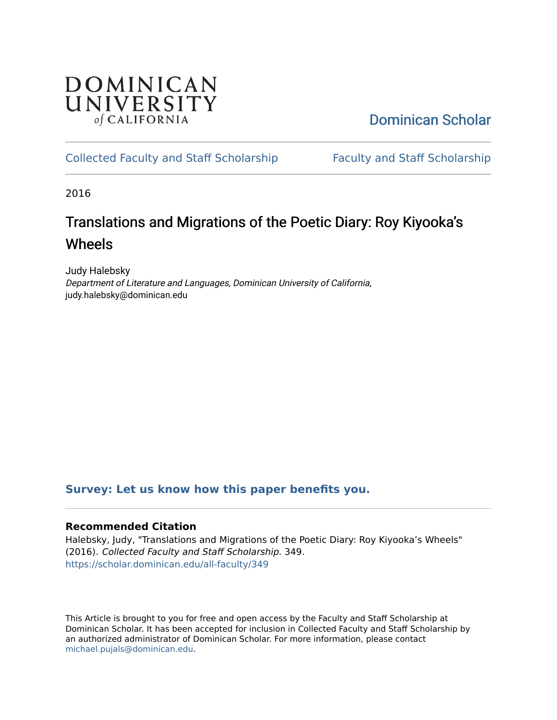## **DOMINICAN** UNIVERSITY of CALIFORNIA

[Dominican Scholar](https://scholar.dominican.edu/) 

## [Collected Faculty and Staff Scholarship](https://scholar.dominican.edu/all-faculty) [Faculty and Staff Scholarship](https://scholar.dominican.edu/faculty-scholarship)

2016

# Translations and Migrations of the Poetic Diary: Roy Kiyooka's Wheels

Judy Halebsky Department of Literature and Languages, Dominican University of California, judy.halebsky@dominican.edu

### **[Survey: Let us know how this paper benefits you.](https://dominican.libwizard.com/dominican-scholar-feedback)**

#### **Recommended Citation**

Halebsky, Judy, "Translations and Migrations of the Poetic Diary: Roy Kiyooka's Wheels" (2016). Collected Faculty and Staff Scholarship. 349. [https://scholar.dominican.edu/all-faculty/349](https://scholar.dominican.edu/all-faculty/349?utm_source=scholar.dominican.edu%2Fall-faculty%2F349&utm_medium=PDF&utm_campaign=PDFCoverPages) 

This Article is brought to you for free and open access by the Faculty and Staff Scholarship at Dominican Scholar. It has been accepted for inclusion in Collected Faculty and Staff Scholarship by an authorized administrator of Dominican Scholar. For more information, please contact [michael.pujals@dominican.edu.](mailto:michael.pujals@dominican.edu)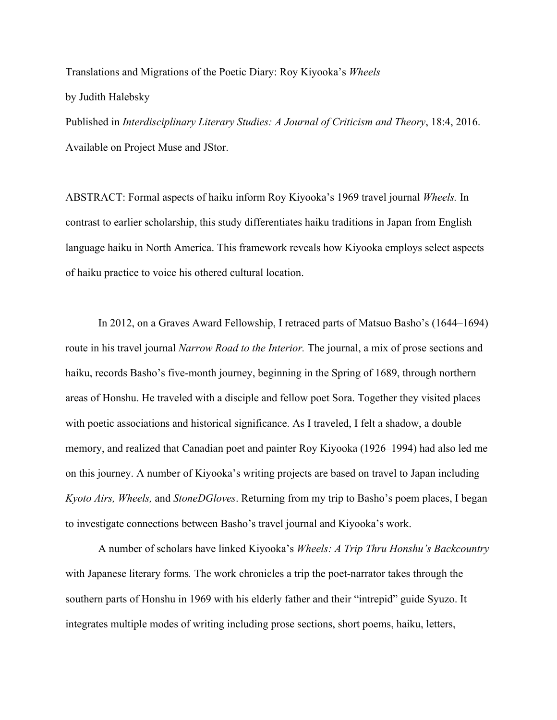Translations and Migrations of the Poetic Diary: Roy Kiyooka's *Wheels* by Judith Halebsky

Published in *Interdisciplinary Literary Studies: A Journal of Criticism and Theory*, 18:4, 2016. Available on Project Muse and JStor.

ABSTRACT: Formal aspects of haiku inform Roy Kiyooka's 1969 travel journal *Wheels.* In contrast to earlier scholarship, this study differentiates haiku traditions in Japan from English language haiku in North America. This framework reveals how Kiyooka employs select aspects of haiku practice to voice his othered cultural location.

In 2012, on a Graves Award Fellowship, I retraced parts of Matsuo Basho's (1644–1694) route in his travel journal *Narrow Road to the Interior.* The journal, a mix of prose sections and haiku, records Basho's five-month journey, beginning in the Spring of 1689, through northern areas of Honshu. He traveled with a disciple and fellow poet Sora. Together they visited places with poetic associations and historical significance. As I traveled, I felt a shadow, a double memory, and realized that Canadian poet and painter Roy Kiyooka (1926–1994) had also led me on this journey. A number of Kiyooka's writing projects are based on travel to Japan including *Kyoto Airs, Wheels,* and *StoneDGloves*. Returning from my trip to Basho's poem places, I began to investigate connections between Basho's travel journal and Kiyooka's work.

A number of scholars have linked Kiyooka's *Wheels: A Trip Thru Honshu's Backcountry*  with Japanese literary forms*.* The work chronicles a trip the poet-narrator takes through the southern parts of Honshu in 1969 with his elderly father and their "intrepid" guide Syuzo. It integrates multiple modes of writing including prose sections, short poems, haiku, letters,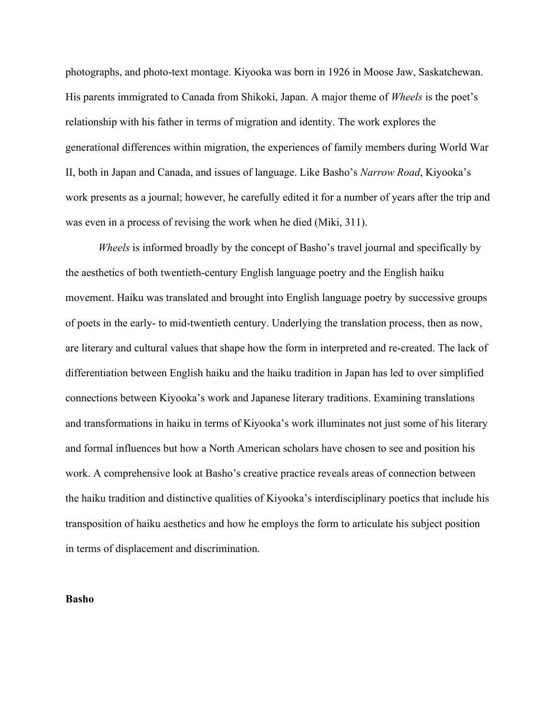photographs, and photo-text montage. Kiyooka was born in 1926 in Moose Jaw, Saskatchewan. His parents immigrated to Canada from Shikoki, Japan. A major theme of *Wheels* is the poet's relationship with his father in terms of migration and identity. The work explores the generational differences within migration, the experiences of family members during World War II, both in Japan and Canada, and issues of language. Like Basho's *Narrow Road*, Kiyooka's work presents as a journal; however, he carefully edited it for a number of years after the trip and was even in a process of revising the work when he died (Miki, 311).

*Wheels* is informed broadly by the concept of Basho's travel journal and specifically by the aesthetics of both twentieth-century English language poetry and the English haiku movement. Haiku was translated and brought into English language poetry by successive groups of poets in the early- to mid-twentieth century. Underlying the translation process, then as now, are literary and cultural values that shape how the form in interpreted and re-created. The lack of differentiation between English haiku and the haiku tradition in Japan has led to over simplified connections between Kiyooka's work and Japanese literary traditions. Examining translations and transformations in haiku in terms of Kiyooka's work illuminates not just some of his literary and formal influences but how a North American scholars have chosen to see and position his work. A comprehensive look at Basho's creative practice reveals areas of connection between the haiku tradition and distinctive qualities of Kiyooka's interdisciplinary poetics that include his transposition of haiku aesthetics and how he employs the form to articulate his subject position in terms of displacement and discrimination.

#### **Basho**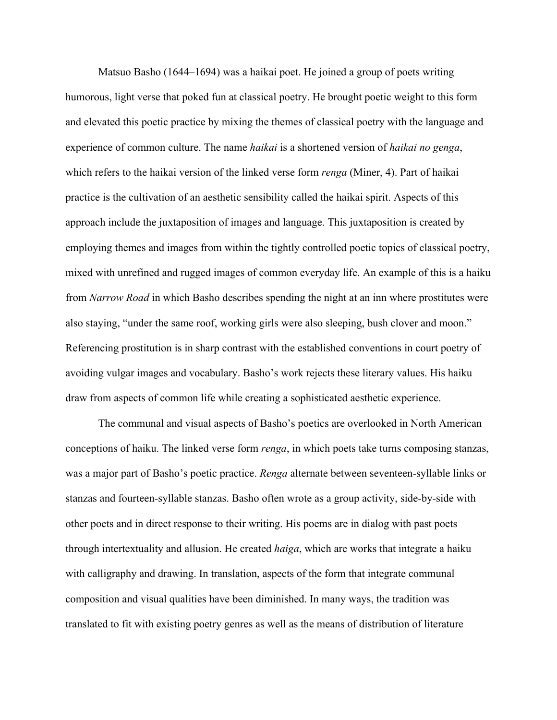Matsuo Basho (1644–1694) was a haikai poet. He joined a group of poets writing humorous, light verse that poked fun at classical poetry. He brought poetic weight to this form and elevated this poetic practice by mixing the themes of classical poetry with the language and experience of common culture. The name *haikai* is a shortened version of *haikai no genga*, which refers to the haikai version of the linked verse form *renga* (Miner, 4). Part of haikai practice is the cultivation of an aesthetic sensibility called the haikai spirit. Aspects of this approach include the juxtaposition of images and language. This juxtaposition is created by employing themes and images from within the tightly controlled poetic topics of classical poetry, mixed with unrefined and rugged images of common everyday life. An example of this is a haiku from *Narrow Road* in which Basho describes spending the night at an inn where prostitutes were also staying, "under the same roof, working girls were also sleeping, bush clover and moon." Referencing prostitution is in sharp contrast with the established conventions in court poetry of avoiding vulgar images and vocabulary. Basho's work rejects these literary values. His haiku draw from aspects of common life while creating a sophisticated aesthetic experience.

The communal and visual aspects of Basho's poetics are overlooked in North American conceptions of haiku. The linked verse form *renga*, in which poets take turns composing stanzas, was a major part of Basho's poetic practice. *Renga* alternate between seventeen-syllable links or stanzas and fourteen-syllable stanzas. Basho often wrote as a group activity, side-by-side with other poets and in direct response to their writing. His poems are in dialog with past poets through intertextuality and allusion. He created *haiga*, which are works that integrate a haiku with calligraphy and drawing. In translation, aspects of the form that integrate communal composition and visual qualities have been diminished. In many ways, the tradition was translated to fit with existing poetry genres as well as the means of distribution of literature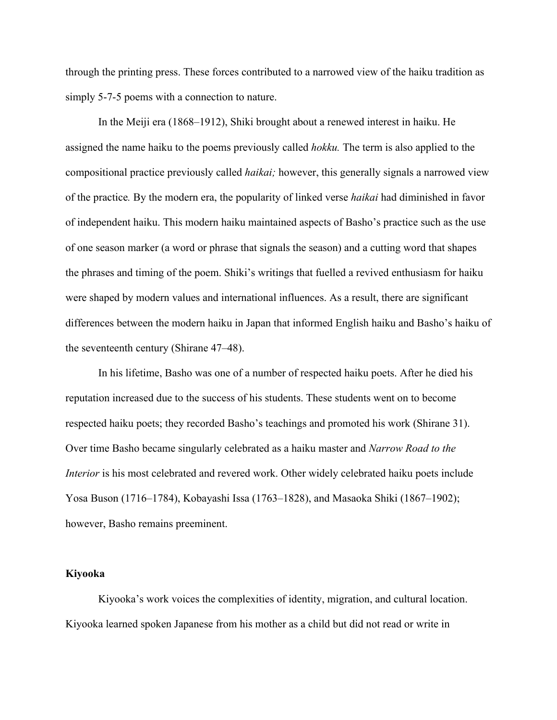through the printing press. These forces contributed to a narrowed view of the haiku tradition as simply 5-7-5 poems with a connection to nature.

In the Meiji era (1868–1912), Shiki brought about a renewed interest in haiku. He assigned the name haiku to the poems previously called *hokku.* The term is also applied to the compositional practice previously called *haikai;* however, this generally signals a narrowed view of the practice*.* By the modern era, the popularity of linked verse *haikai* had diminished in favor of independent haiku. This modern haiku maintained aspects of Basho's practice such as the use of one season marker (a word or phrase that signals the season) and a cutting word that shapes the phrases and timing of the poem. Shiki's writings that fuelled a revived enthusiasm for haiku were shaped by modern values and international influences. As a result, there are significant differences between the modern haiku in Japan that informed English haiku and Basho's haiku of the seventeenth century (Shirane 47–48).

In his lifetime, Basho was one of a number of respected haiku poets. After he died his reputation increased due to the success of his students. These students went on to become respected haiku poets; they recorded Basho's teachings and promoted his work (Shirane 31). Over time Basho became singularly celebrated as a haiku master and *Narrow Road to the Interior* is his most celebrated and revered work. Other widely celebrated haiku poets include Yosa Buson (1716–1784), Kobayashi Issa (1763–1828), and Masaoka Shiki (1867–1902); however, Basho remains preeminent.

#### **Kiyooka**

Kiyooka's work voices the complexities of identity, migration, and cultural location. Kiyooka learned spoken Japanese from his mother as a child but did not read or write in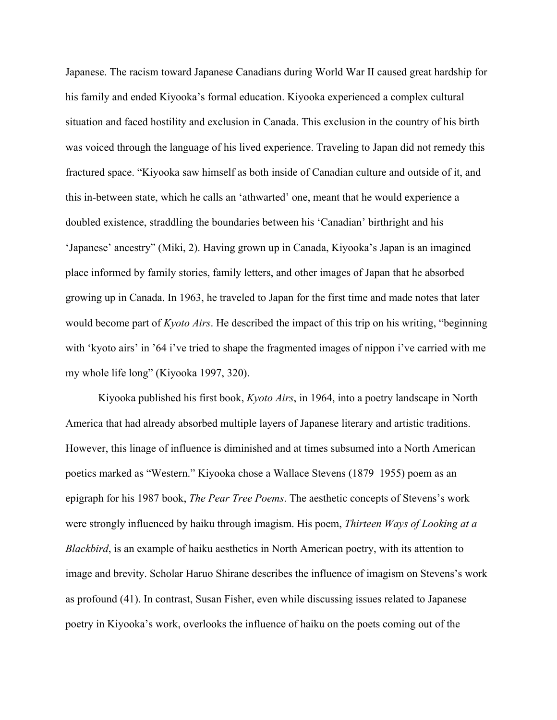Japanese. The racism toward Japanese Canadians during World War II caused great hardship for his family and ended Kiyooka's formal education. Kiyooka experienced a complex cultural situation and faced hostility and exclusion in Canada. This exclusion in the country of his birth was voiced through the language of his lived experience. Traveling to Japan did not remedy this fractured space. "Kiyooka saw himself as both inside of Canadian culture and outside of it, and this in-between state, which he calls an 'athwarted' one, meant that he would experience a doubled existence, straddling the boundaries between his 'Canadian' birthright and his 'Japanese' ancestry" (Miki, 2). Having grown up in Canada, Kiyooka's Japan is an imagined place informed by family stories, family letters, and other images of Japan that he absorbed growing up in Canada. In 1963, he traveled to Japan for the first time and made notes that later would become part of *Kyoto Airs*. He described the impact of this trip on his writing, "beginning with 'kyoto airs' in '64 i've tried to shape the fragmented images of nippon i've carried with me my whole life long" (Kiyooka 1997, 320).

Kiyooka published his first book, *Kyoto Airs*, in 1964, into a poetry landscape in North America that had already absorbed multiple layers of Japanese literary and artistic traditions. However, this linage of influence is diminished and at times subsumed into a North American poetics marked as "Western." Kiyooka chose a Wallace Stevens (1879–1955) poem as an epigraph for his 1987 book, *The Pear Tree Poems*. The aesthetic concepts of Stevens's work were strongly influenced by haiku through imagism. His poem, *Thirteen Ways of Looking at a Blackbird*, is an example of haiku aesthetics in North American poetry, with its attention to image and brevity. Scholar Haruo Shirane describes the influence of imagism on Stevens's work as profound (41). In contrast, Susan Fisher, even while discussing issues related to Japanese poetry in Kiyooka's work, overlooks the influence of haiku on the poets coming out of the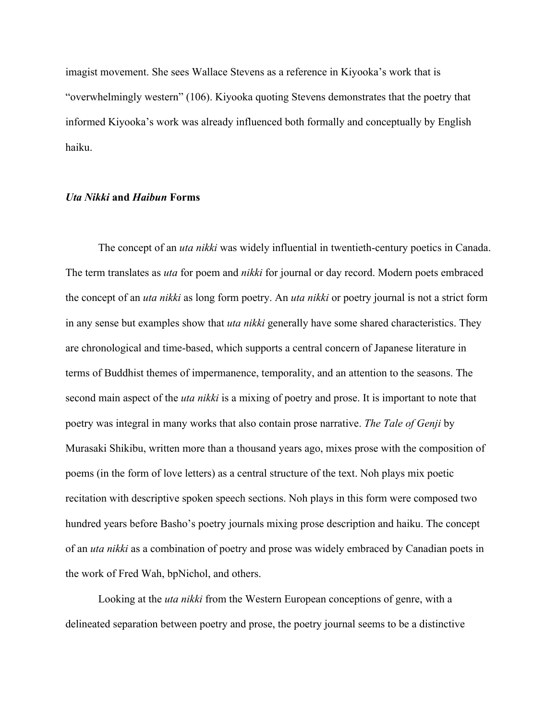imagist movement. She sees Wallace Stevens as a reference in Kiyooka's work that is "overwhelmingly western" (106). Kiyooka quoting Stevens demonstrates that the poetry that informed Kiyooka's work was already influenced both formally and conceptually by English haiku.

#### *Uta Nikki* **and** *Haibun* **Forms**

The concept of an *uta nikki* was widely influential in twentieth-century poetics in Canada. The term translates as *uta* for poem and *nikki* for journal or day record. Modern poets embraced the concept of an *uta nikki* as long form poetry. An *uta nikki* or poetry journal is not a strict form in any sense but examples show that *uta nikki* generally have some shared characteristics. They are chronological and time-based, which supports a central concern of Japanese literature in terms of Buddhist themes of impermanence, temporality, and an attention to the seasons. The second main aspect of the *uta nikki* is a mixing of poetry and prose. It is important to note that poetry was integral in many works that also contain prose narrative. *The Tale of Genji* by Murasaki Shikibu, written more than a thousand years ago, mixes prose with the composition of poems (in the form of love letters) as a central structure of the text. Noh plays mix poetic recitation with descriptive spoken speech sections. Noh plays in this form were composed two hundred years before Basho's poetry journals mixing prose description and haiku. The concept of an *uta nikki* as a combination of poetry and prose was widely embraced by Canadian poets in the work of Fred Wah, bpNichol, and others.

Looking at the *uta nikki* from the Western European conceptions of genre, with a delineated separation between poetry and prose, the poetry journal seems to be a distinctive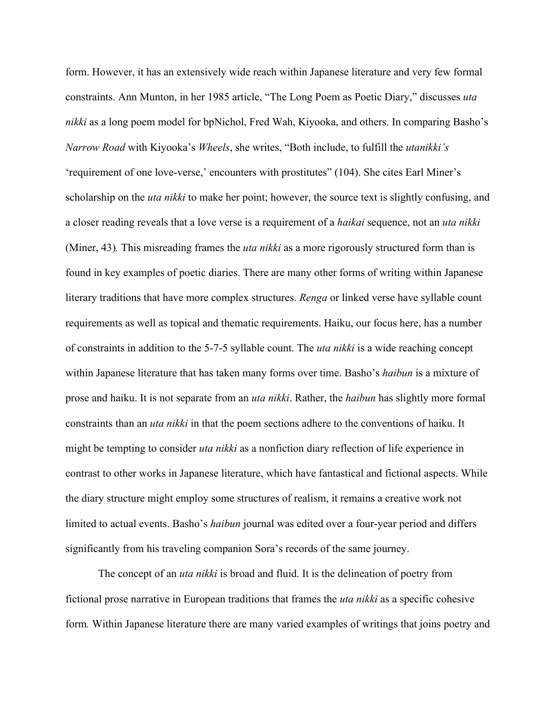form. However, it has an extensively wide reach within Japanese literature and very few formal constraints. Ann Munton, in her 1985 article, "The Long Poem as Poetic Diary," discusses *uta nikki* as a long poem model for bpNichol, Fred Wah, Kiyooka, and others. In comparing Basho's *Narrow Road* with Kiyooka's *Wheels*, she writes, "Both include, to fulfill the *utanikki's* 'requirement of one love-verse,' encounters with prostitutes" (104). She cites Earl Miner's scholarship on the *uta nikki* to make her point; however, the source text is slightly confusing, and a closer reading reveals that a love verse is a requirement of a *haikai* sequence, not an *uta nikki*  (Miner, 43)*.* This misreading frames the *uta nikki* as a more rigorously structured form than is found in key examples of poetic diaries. There are many other forms of writing within Japanese literary traditions that have more complex structures. *Renga* or linked verse have syllable count requirements as well as topical and thematic requirements. Haiku, our focus here, has a number of constraints in addition to the 5-7-5 syllable count. The *uta nikki* is a wide reaching concept within Japanese literature that has taken many forms over time. Basho's *haibun* is a mixture of prose and haiku. It is not separate from an *uta nikki*. Rather, the *haibun* has slightly more formal constraints than an *uta nikki* in that the poem sections adhere to the conventions of haiku. It might be tempting to consider *uta nikki* as a nonfiction diary reflection of life experience in contrast to other works in Japanese literature, which have fantastical and fictional aspects. While the diary structure might employ some structures of realism, it remains a creative work not limited to actual events. Basho's *haibun* journal was edited over a four-year period and differs significantly from his traveling companion Sora's records of the same journey.

The concept of an *uta nikki* is broad and fluid. It is the delineation of poetry from fictional prose narrative in European traditions that frames the *uta nikki* as a specific cohesive form*.* Within Japanese literature there are many varied examples of writings that joins poetry and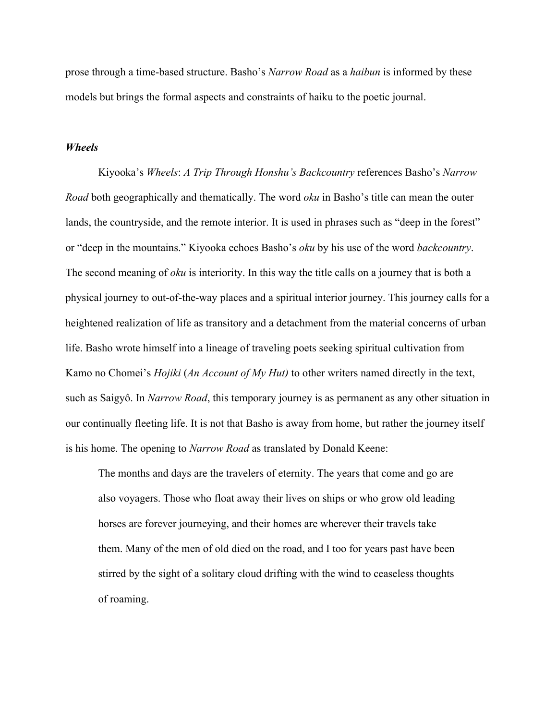prose through a time-based structure. Basho's *Narrow Road* as a *haibun* is informed by these models but brings the formal aspects and constraints of haiku to the poetic journal.

#### *Wheels*

Kiyooka's *Wheels*: *A Trip Through Honshu's Backcountry* references Basho's *Narrow Road* both geographically and thematically. The word *oku* in Basho's title can mean the outer lands, the countryside, and the remote interior. It is used in phrases such as "deep in the forest" or "deep in the mountains." Kiyooka echoes Basho's *oku* by his use of the word *backcountry*. The second meaning of *oku* is interiority. In this way the title calls on a journey that is both a physical journey to out-of-the-way places and a spiritual interior journey. This journey calls for a heightened realization of life as transitory and a detachment from the material concerns of urban life. Basho wrote himself into a lineage of traveling poets seeking spiritual cultivation from Kamo no Chomei's *Hojiki* (*An Account of My Hut)* to other writers named directly in the text, such as Saigyô. In *Narrow Road*, this temporary journey is as permanent as any other situation in our continually fleeting life. It is not that Basho is away from home, but rather the journey itself is his home. The opening to *Narrow Road* as translated by Donald Keene:

The months and days are the travelers of eternity. The years that come and go are also voyagers. Those who float away their lives on ships or who grow old leading horses are forever journeying, and their homes are wherever their travels take them. Many of the men of old died on the road, and I too for years past have been stirred by the sight of a solitary cloud drifting with the wind to ceaseless thoughts of roaming.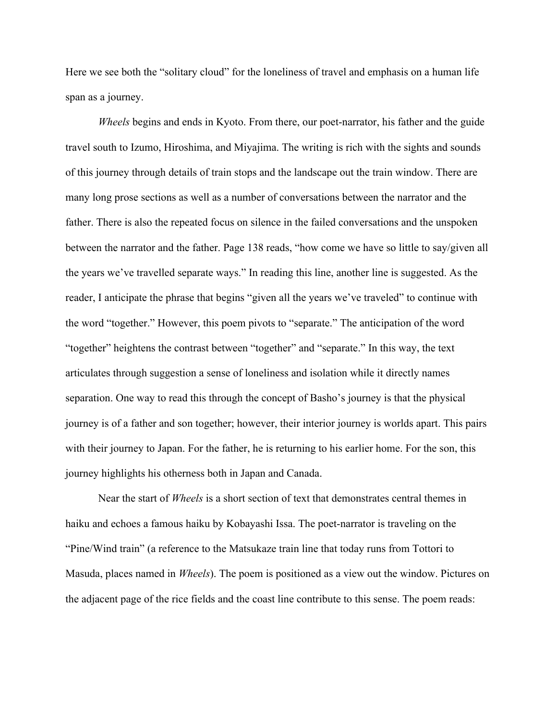Here we see both the "solitary cloud" for the loneliness of travel and emphasis on a human life span as a journey.

*Wheels* begins and ends in Kyoto. From there, our poet-narrator, his father and the guide travel south to Izumo, Hiroshima, and Miyajima. The writing is rich with the sights and sounds of this journey through details of train stops and the landscape out the train window. There are many long prose sections as well as a number of conversations between the narrator and the father. There is also the repeated focus on silence in the failed conversations and the unspoken between the narrator and the father. Page 138 reads, "how come we have so little to say/given all the years we've travelled separate ways." In reading this line, another line is suggested. As the reader, I anticipate the phrase that begins "given all the years we've traveled" to continue with the word "together." However, this poem pivots to "separate." The anticipation of the word "together" heightens the contrast between "together" and "separate." In this way, the text articulates through suggestion a sense of loneliness and isolation while it directly names separation. One way to read this through the concept of Basho's journey is that the physical journey is of a father and son together; however, their interior journey is worlds apart. This pairs with their journey to Japan. For the father, he is returning to his earlier home. For the son, this journey highlights his otherness both in Japan and Canada.

Near the start of *Wheels* is a short section of text that demonstrates central themes in haiku and echoes a famous haiku by Kobayashi Issa. The poet-narrator is traveling on the "Pine/Wind train" (a reference to the Matsukaze train line that today runs from Tottori to Masuda, places named in *Wheels*). The poem is positioned as a view out the window. Pictures on the adjacent page of the rice fields and the coast line contribute to this sense. The poem reads: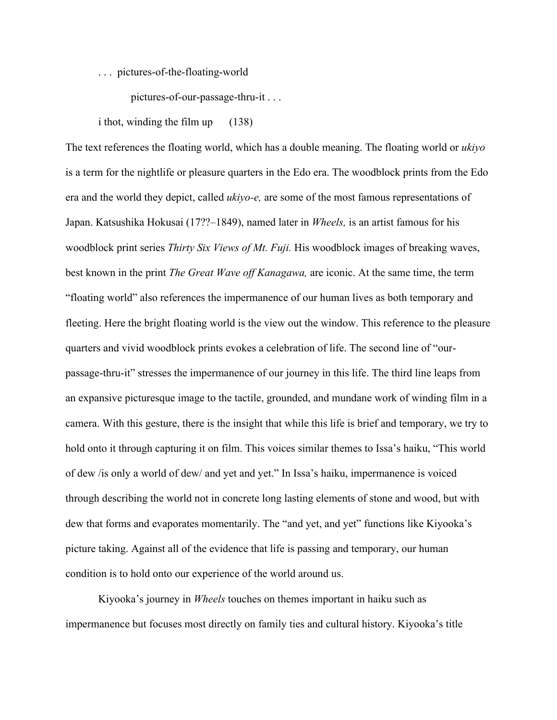. . . pictures-of-the-floating-world

pictures-of-our-passage-thru-it . . .

i thot, winding the film up (138)

The text references the floating world, which has a double meaning. The floating world or *ukiyo*  is a term for the nightlife or pleasure quarters in the Edo era. The woodblock prints from the Edo era and the world they depict, called *ukiyo-e,* are some of the most famous representations of Japan. Katsushika Hokusai (17??–1849), named later in *Wheels,* is an artist famous for his woodblock print series *Thirty Six Views of Mt. Fuji.* His woodblock images of breaking waves, best known in the print *The Great Wave off Kanagawa,* are iconic. At the same time, the term "floating world" also references the impermanence of our human lives as both temporary and fleeting. Here the bright floating world is the view out the window. This reference to the pleasure quarters and vivid woodblock prints evokes a celebration of life. The second line of "ourpassage-thru-it" stresses the impermanence of our journey in this life. The third line leaps from an expansive picturesque image to the tactile, grounded, and mundane work of winding film in a camera. With this gesture, there is the insight that while this life is brief and temporary, we try to hold onto it through capturing it on film. This voices similar themes to Issa's haiku, "This world of dew /is only a world of dew/ and yet and yet." In Issa's haiku, impermanence is voiced through describing the world not in concrete long lasting elements of stone and wood, but with dew that forms and evaporates momentarily. The "and yet, and yet" functions like Kiyooka's picture taking. Against all of the evidence that life is passing and temporary, our human condition is to hold onto our experience of the world around us.

Kiyooka's journey in *Wheels* touches on themes important in haiku such as impermanence but focuses most directly on family ties and cultural history. Kiyooka's title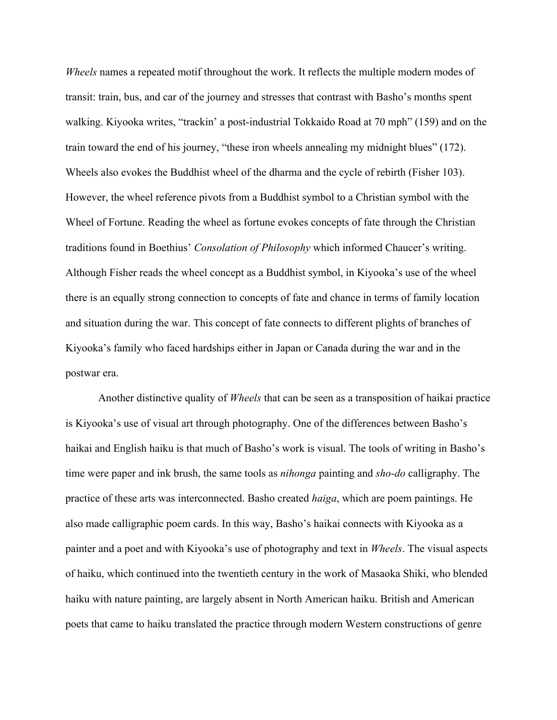*Wheels* names a repeated motif throughout the work. It reflects the multiple modern modes of transit: train, bus, and car of the journey and stresses that contrast with Basho's months spent walking. Kiyooka writes, "trackin' a post-industrial Tokkaido Road at 70 mph" (159) and on the train toward the end of his journey, "these iron wheels annealing my midnight blues" (172). Wheels also evokes the Buddhist wheel of the dharma and the cycle of rebirth (Fisher 103). However, the wheel reference pivots from a Buddhist symbol to a Christian symbol with the Wheel of Fortune. Reading the wheel as fortune evokes concepts of fate through the Christian traditions found in Boethius' *Consolation of Philosophy* which informed Chaucer's writing. Although Fisher reads the wheel concept as a Buddhist symbol, in Kiyooka's use of the wheel there is an equally strong connection to concepts of fate and chance in terms of family location and situation during the war. This concept of fate connects to different plights of branches of Kiyooka's family who faced hardships either in Japan or Canada during the war and in the postwar era.

Another distinctive quality of *Wheels* that can be seen as a transposition of haikai practice is Kiyooka's use of visual art through photography. One of the differences between Basho's haikai and English haiku is that much of Basho's work is visual. The tools of writing in Basho's time were paper and ink brush, the same tools as *nihonga* painting and *sho-do* calligraphy. The practice of these arts was interconnected. Basho created *haiga*, which are poem paintings. He also made calligraphic poem cards. In this way, Basho's haikai connects with Kiyooka as a painter and a poet and with Kiyooka's use of photography and text in *Wheels*. The visual aspects of haiku, which continued into the twentieth century in the work of Masaoka Shiki, who blended haiku with nature painting, are largely absent in North American haiku. British and American poets that came to haiku translated the practice through modern Western constructions of genre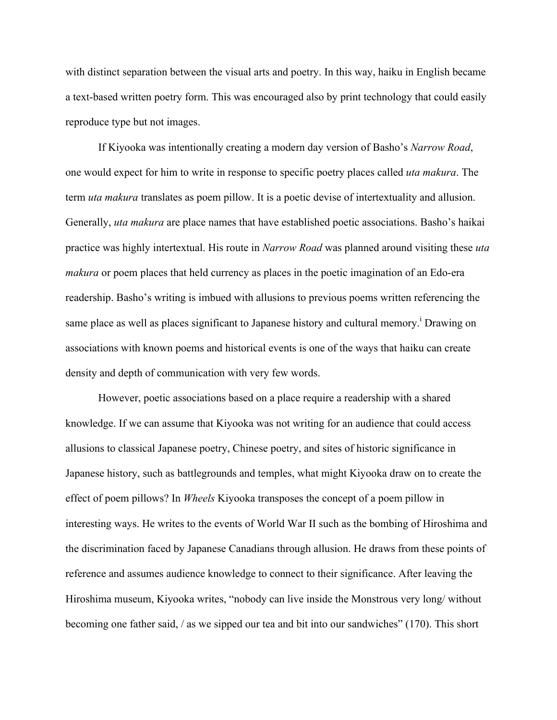with distinct separation between the visual arts and poetry. In this way, haiku in English became a text-based written poetry form. This was encouraged also by print technology that could easily reproduce type but not images.

If Kiyooka was intentionally creating a modern day version of Basho's *Narrow Road*, one would expect for him to write in response to specific poetry places called *uta makura*. The term *uta makura* translates as poem pillow. It is a poetic devise of intertextuality and allusion. Generally, *uta makura* are place names that have established poetic associations. Basho's haikai practice was highly intertextual. His route in *Narrow Road* was planned around visiting these *uta makura* or poem places that held currency as places in the poetic imagination of an Edo-era readership. Basho's writing is imbued with allusions to previous poems written referencing the same place as well as places significant to Japanese history and cultural memory.<sup>i</sup> Drawing on associations with known poems and historical events is one of the ways that haiku can create density and depth of communication with very few words.

However, poetic associations based on a place require a readership with a shared knowledge. If we can assume that Kiyooka was not writing for an audience that could access allusions to classical Japanese poetry, Chinese poetry, and sites of historic significance in Japanese history, such as battlegrounds and temples, what might Kiyooka draw on to create the effect of poem pillows? In *Wheels* Kiyooka transposes the concept of a poem pillow in interesting ways. He writes to the events of World War II such as the bombing of Hiroshima and the discrimination faced by Japanese Canadians through allusion. He draws from these points of reference and assumes audience knowledge to connect to their significance. After leaving the Hiroshima museum, Kiyooka writes, "nobody can live inside the Monstrous very long/ without becoming one father said, / as we sipped our tea and bit into our sandwiches" (170). This short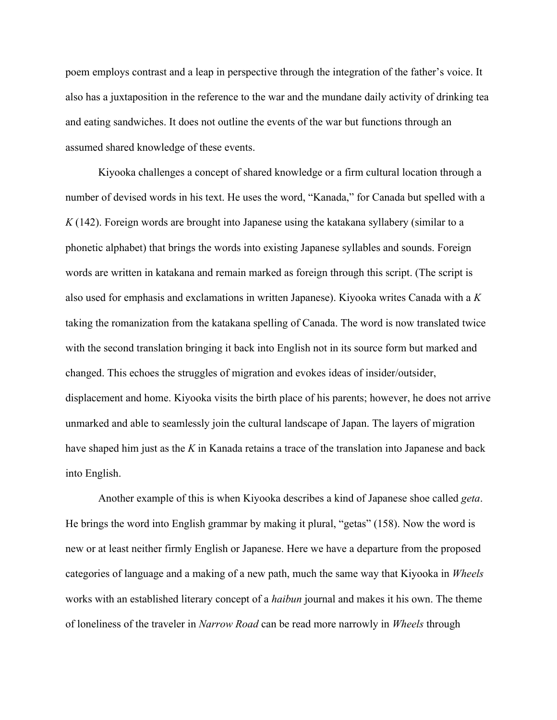poem employs contrast and a leap in perspective through the integration of the father's voice. It also has a juxtaposition in the reference to the war and the mundane daily activity of drinking tea and eating sandwiches. It does not outline the events of the war but functions through an assumed shared knowledge of these events.

Kiyooka challenges a concept of shared knowledge or a firm cultural location through a number of devised words in his text. He uses the word, "Kanada," for Canada but spelled with a *K* (142). Foreign words are brought into Japanese using the katakana syllabery (similar to a phonetic alphabet) that brings the words into existing Japanese syllables and sounds. Foreign words are written in katakana and remain marked as foreign through this script. (The script is also used for emphasis and exclamations in written Japanese). Kiyooka writes Canada with a *K* taking the romanization from the katakana spelling of Canada. The word is now translated twice with the second translation bringing it back into English not in its source form but marked and changed. This echoes the struggles of migration and evokes ideas of insider/outsider, displacement and home. Kiyooka visits the birth place of his parents; however, he does not arrive unmarked and able to seamlessly join the cultural landscape of Japan. The layers of migration have shaped him just as the *K* in Kanada retains a trace of the translation into Japanese and back into English.

Another example of this is when Kiyooka describes a kind of Japanese shoe called *geta*. He brings the word into English grammar by making it plural, "getas" (158). Now the word is new or at least neither firmly English or Japanese. Here we have a departure from the proposed categories of language and a making of a new path, much the same way that Kiyooka in *Wheels* works with an established literary concept of a *haibun* journal and makes it his own. The theme of loneliness of the traveler in *Narrow Road* can be read more narrowly in *Wheels* through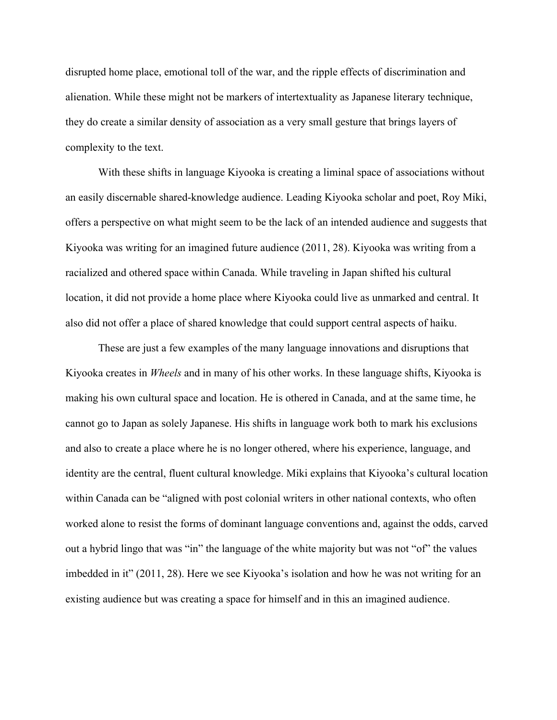disrupted home place, emotional toll of the war, and the ripple effects of discrimination and alienation. While these might not be markers of intertextuality as Japanese literary technique, they do create a similar density of association as a very small gesture that brings layers of complexity to the text.

With these shifts in language Kiyooka is creating a liminal space of associations without an easily discernable shared-knowledge audience. Leading Kiyooka scholar and poet, Roy Miki, offers a perspective on what might seem to be the lack of an intended audience and suggests that Kiyooka was writing for an imagined future audience (2011, 28). Kiyooka was writing from a racialized and othered space within Canada. While traveling in Japan shifted his cultural location, it did not provide a home place where Kiyooka could live as unmarked and central. It also did not offer a place of shared knowledge that could support central aspects of haiku.

These are just a few examples of the many language innovations and disruptions that Kiyooka creates in *Wheels* and in many of his other works. In these language shifts, Kiyooka is making his own cultural space and location. He is othered in Canada, and at the same time, he cannot go to Japan as solely Japanese. His shifts in language work both to mark his exclusions and also to create a place where he is no longer othered, where his experience, language, and identity are the central, fluent cultural knowledge. Miki explains that Kiyooka's cultural location within Canada can be "aligned with post colonial writers in other national contexts, who often worked alone to resist the forms of dominant language conventions and, against the odds, carved out a hybrid lingo that was "in" the language of the white majority but was not "of" the values imbedded in it" (2011, 28). Here we see Kiyooka's isolation and how he was not writing for an existing audience but was creating a space for himself and in this an imagined audience.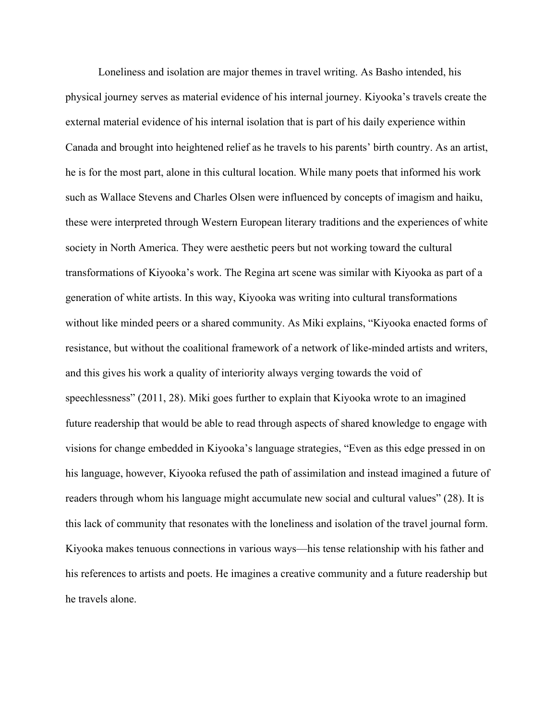Loneliness and isolation are major themes in travel writing. As Basho intended, his physical journey serves as material evidence of his internal journey. Kiyooka's travels create the external material evidence of his internal isolation that is part of his daily experience within Canada and brought into heightened relief as he travels to his parents' birth country. As an artist, he is for the most part, alone in this cultural location. While many poets that informed his work such as Wallace Stevens and Charles Olsen were influenced by concepts of imagism and haiku, these were interpreted through Western European literary traditions and the experiences of white society in North America. They were aesthetic peers but not working toward the cultural transformations of Kiyooka's work. The Regina art scene was similar with Kiyooka as part of a generation of white artists. In this way, Kiyooka was writing into cultural transformations without like minded peers or a shared community. As Miki explains, "Kiyooka enacted forms of resistance, but without the coalitional framework of a network of like-minded artists and writers, and this gives his work a quality of interiority always verging towards the void of speechlessness" (2011, 28). Miki goes further to explain that Kiyooka wrote to an imagined future readership that would be able to read through aspects of shared knowledge to engage with visions for change embedded in Kiyooka's language strategies, "Even as this edge pressed in on his language, however, Kiyooka refused the path of assimilation and instead imagined a future of readers through whom his language might accumulate new social and cultural values" (28). It is this lack of community that resonates with the loneliness and isolation of the travel journal form. Kiyooka makes tenuous connections in various ways—his tense relationship with his father and his references to artists and poets. He imagines a creative community and a future readership but he travels alone.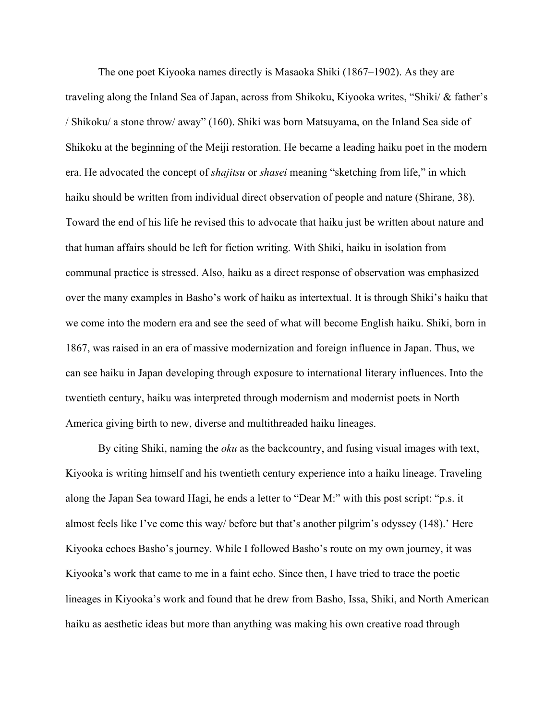The one poet Kiyooka names directly is Masaoka Shiki (1867–1902). As they are traveling along the Inland Sea of Japan, across from Shikoku, Kiyooka writes, "Shiki/ & father's / Shikoku/ a stone throw/ away" (160). Shiki was born Matsuyama, on the Inland Sea side of Shikoku at the beginning of the Meiji restoration. He became a leading haiku poet in the modern era. He advocated the concept of *shajitsu* or *shasei* meaning "sketching from life," in which haiku should be written from individual direct observation of people and nature (Shirane, 38). Toward the end of his life he revised this to advocate that haiku just be written about nature and that human affairs should be left for fiction writing. With Shiki, haiku in isolation from communal practice is stressed. Also, haiku as a direct response of observation was emphasized over the many examples in Basho's work of haiku as intertextual. It is through Shiki's haiku that we come into the modern era and see the seed of what will become English haiku. Shiki, born in 1867, was raised in an era of massive modernization and foreign influence in Japan. Thus, we can see haiku in Japan developing through exposure to international literary influences. Into the twentieth century, haiku was interpreted through modernism and modernist poets in North America giving birth to new, diverse and multithreaded haiku lineages.

By citing Shiki, naming the *oku* as the backcountry, and fusing visual images with text, Kiyooka is writing himself and his twentieth century experience into a haiku lineage. Traveling along the Japan Sea toward Hagi, he ends a letter to "Dear M:" with this post script: "p.s. it almost feels like I've come this way/ before but that's another pilgrim's odyssey (148).' Here Kiyooka echoes Basho's journey. While I followed Basho's route on my own journey, it was Kiyooka's work that came to me in a faint echo. Since then, I have tried to trace the poetic lineages in Kiyooka's work and found that he drew from Basho, Issa, Shiki, and North American haiku as aesthetic ideas but more than anything was making his own creative road through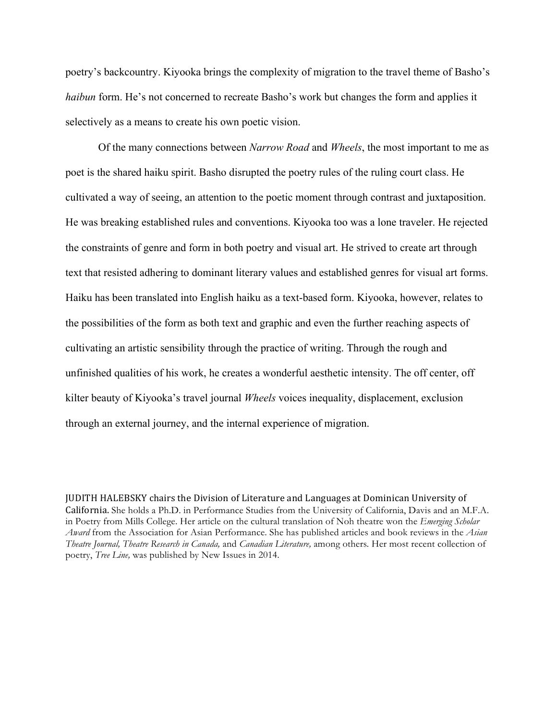poetry's backcountry. Kiyooka brings the complexity of migration to the travel theme of Basho's *haibun* form. He's not concerned to recreate Basho's work but changes the form and applies it selectively as a means to create his own poetic vision.

Of the many connections between *Narrow Road* and *Wheels*, the most important to me as poet is the shared haiku spirit. Basho disrupted the poetry rules of the ruling court class. He cultivated a way of seeing, an attention to the poetic moment through contrast and juxtaposition. He was breaking established rules and conventions. Kiyooka too was a lone traveler. He rejected the constraints of genre and form in both poetry and visual art. He strived to create art through text that resisted adhering to dominant literary values and established genres for visual art forms. Haiku has been translated into English haiku as a text-based form. Kiyooka, however, relates to the possibilities of the form as both text and graphic and even the further reaching aspects of cultivating an artistic sensibility through the practice of writing. Through the rough and unfinished qualities of his work, he creates a wonderful aesthetic intensity. The off center, off kilter beauty of Kiyooka's travel journal *Wheels* voices inequality, displacement, exclusion through an external journey, and the internal experience of migration.

JUDITH HALEBSKY chairs the Division of Literature and Languages at Dominican University of California. She holds a Ph.D. in Performance Studies from the University of California, Davis and an M.F.A. in Poetry from Mills College. Her article on the cultural translation of Noh theatre won the *Emerging Scholar Award* from the Association for Asian Performance. She has published articles and book reviews in the *Asian Theatre Journal, Theatre Research in Canada,* and *Canadian Literature,* among others*.* Her most recent collection of poetry, *Tree Line,* was published by New Issues in 2014.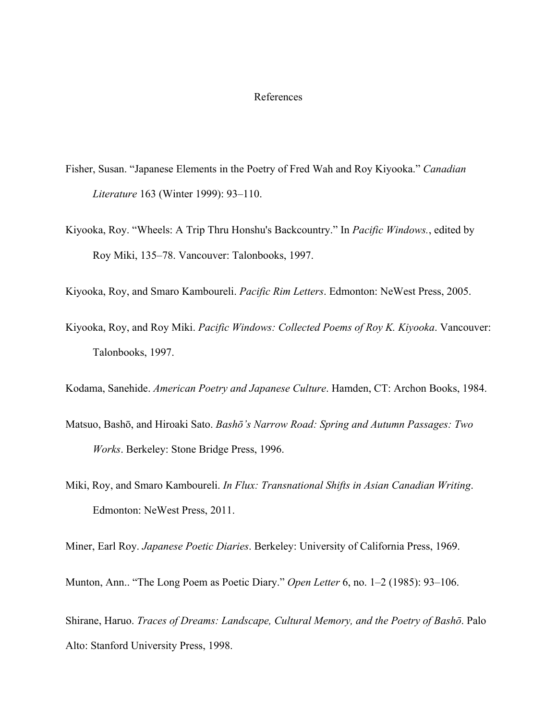#### References

- Fisher, Susan. "Japanese Elements in the Poetry of Fred Wah and Roy Kiyooka." *Canadian Literature* 163 (Winter 1999): 93–110.
- Kiyooka, Roy. "Wheels: A Trip Thru Honshu's Backcountry." In *Pacific Windows.*, edited by Roy Miki, 135–78. Vancouver: Talonbooks, 1997.

Kiyooka, Roy, and Smaro Kamboureli. *Pacific Rim Letters*. Edmonton: NeWest Press, 2005.

Kiyooka, Roy, and Roy Miki. *Pacific Windows: Collected Poems of Roy K. Kiyooka*. Vancouver: Talonbooks, 1997.

Kodama, Sanehide. *American Poetry and Japanese Culture*. Hamden, CT: Archon Books, 1984.

- Matsuo, Bashō, and Hiroaki Sato. *Bashō's Narrow Road: Spring and Autumn Passages: Two Works*. Berkeley: Stone Bridge Press, 1996.
- Miki, Roy, and Smaro Kamboureli. *In Flux: Transnational Shifts in Asian Canadian Writing*. Edmonton: NeWest Press, 2011.

Miner, Earl Roy. *Japanese Poetic Diaries*. Berkeley: University of California Press, 1969.

Munton, Ann.. "The Long Poem as Poetic Diary." *Open Letter* 6, no. 1–2 (1985): 93–106.

Shirane, Haruo. *Traces of Dreams: Landscape, Cultural Memory, and the Poetry of Bashō*. Palo Alto: Stanford University Press, 1998.